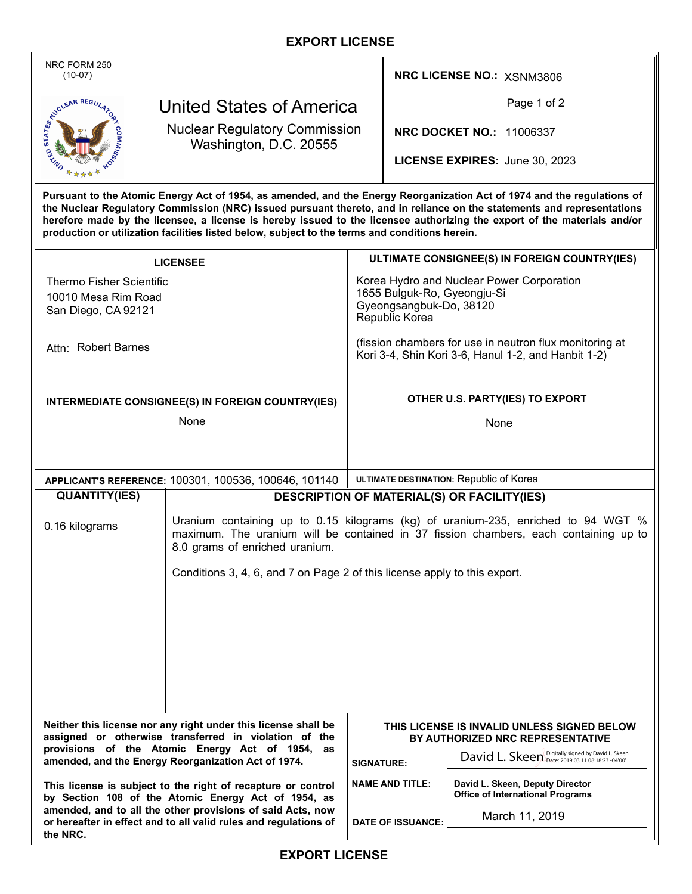## **EXPORT LICENSE**

| NRC FORM 250<br>$(10-07)$                                                                                                                                                                                                                                                                                                                                                                                                                                                       |                                                                                                                                                                                                             |                                                                                                                | NRC LICENSE NO.: XSNM3806                                                                            |  |
|---------------------------------------------------------------------------------------------------------------------------------------------------------------------------------------------------------------------------------------------------------------------------------------------------------------------------------------------------------------------------------------------------------------------------------------------------------------------------------|-------------------------------------------------------------------------------------------------------------------------------------------------------------------------------------------------------------|----------------------------------------------------------------------------------------------------------------|------------------------------------------------------------------------------------------------------|--|
| NOLEAR REGULA<br>United States of America                                                                                                                                                                                                                                                                                                                                                                                                                                       |                                                                                                                                                                                                             |                                                                                                                | Page 1 of 2                                                                                          |  |
| <b>Nuclear Regulatory Commission</b><br>Washington, D.C. 20555                                                                                                                                                                                                                                                                                                                                                                                                                  |                                                                                                                                                                                                             |                                                                                                                | <b>NRC DOCKET NO.: 11006337</b>                                                                      |  |
|                                                                                                                                                                                                                                                                                                                                                                                                                                                                                 |                                                                                                                                                                                                             |                                                                                                                | LICENSE EXPIRES: June 30, 2023                                                                       |  |
| Pursuant to the Atomic Energy Act of 1954, as amended, and the Energy Reorganization Act of 1974 and the regulations of<br>the Nuclear Regulatory Commission (NRC) issued pursuant thereto, and in reliance on the statements and representations<br>herefore made by the licensee, a license is hereby issued to the licensee authorizing the export of the materials and/or<br>production or utilization facilities listed below, subject to the terms and conditions herein. |                                                                                                                                                                                                             |                                                                                                                |                                                                                                      |  |
| <b>LICENSEE</b>                                                                                                                                                                                                                                                                                                                                                                                                                                                                 |                                                                                                                                                                                                             | ULTIMATE CONSIGNEE(S) IN FOREIGN COUNTRY(IES)                                                                  |                                                                                                      |  |
| <b>Thermo Fisher Scientific</b>                                                                                                                                                                                                                                                                                                                                                                                                                                                 |                                                                                                                                                                                                             | Korea Hydro and Nuclear Power Corporation                                                                      |                                                                                                      |  |
| 10010 Mesa Rim Road<br>San Diego, CA 92121                                                                                                                                                                                                                                                                                                                                                                                                                                      |                                                                                                                                                                                                             | 1655 Bulguk-Ro, Gyeongju-Si<br>Gyeongsangbuk-Do, 38120<br>Republic Korea                                       |                                                                                                      |  |
| Attn: Robert Barnes                                                                                                                                                                                                                                                                                                                                                                                                                                                             |                                                                                                                                                                                                             | (fission chambers for use in neutron flux monitoring at<br>Kori 3-4, Shin Kori 3-6, Hanul 1-2, and Hanbit 1-2) |                                                                                                      |  |
| INTERMEDIATE CONSIGNEE(S) IN FOREIGN COUNTRY(IES)                                                                                                                                                                                                                                                                                                                                                                                                                               |                                                                                                                                                                                                             | OTHER U.S. PARTY(IES) TO EXPORT                                                                                |                                                                                                      |  |
| None                                                                                                                                                                                                                                                                                                                                                                                                                                                                            |                                                                                                                                                                                                             | None                                                                                                           |                                                                                                      |  |
|                                                                                                                                                                                                                                                                                                                                                                                                                                                                                 |                                                                                                                                                                                                             |                                                                                                                |                                                                                                      |  |
| APPLICANT'S REFERENCE: 100301, 100536, 100646, 101140                                                                                                                                                                                                                                                                                                                                                                                                                           |                                                                                                                                                                                                             | ULTIMATE DESTINATION: Republic of Korea                                                                        |                                                                                                      |  |
| <b>QUANTITY(IES)</b>                                                                                                                                                                                                                                                                                                                                                                                                                                                            | <b>DESCRIPTION OF MATERIAL(S) OR FACILITY(IES)</b>                                                                                                                                                          |                                                                                                                |                                                                                                      |  |
| 0.16 kilograms                                                                                                                                                                                                                                                                                                                                                                                                                                                                  | Uranium containing up to 0.15 kilograms (kg) of uranium-235, enriched to 94 WGT %<br>maximum. The uranium will be contained in 37 fission chambers, each containing up to<br>8.0 grams of enriched uranium. |                                                                                                                |                                                                                                      |  |
|                                                                                                                                                                                                                                                                                                                                                                                                                                                                                 | Conditions 3, 4, 6, and 7 on Page 2 of this license apply to this export.                                                                                                                                   |                                                                                                                |                                                                                                      |  |
|                                                                                                                                                                                                                                                                                                                                                                                                                                                                                 |                                                                                                                                                                                                             |                                                                                                                |                                                                                                      |  |
|                                                                                                                                                                                                                                                                                                                                                                                                                                                                                 |                                                                                                                                                                                                             |                                                                                                                |                                                                                                      |  |
|                                                                                                                                                                                                                                                                                                                                                                                                                                                                                 |                                                                                                                                                                                                             |                                                                                                                |                                                                                                      |  |
|                                                                                                                                                                                                                                                                                                                                                                                                                                                                                 |                                                                                                                                                                                                             |                                                                                                                |                                                                                                      |  |
|                                                                                                                                                                                                                                                                                                                                                                                                                                                                                 |                                                                                                                                                                                                             |                                                                                                                |                                                                                                      |  |
|                                                                                                                                                                                                                                                                                                                                                                                                                                                                                 |                                                                                                                                                                                                             |                                                                                                                |                                                                                                      |  |
| Neither this license nor any right under this license shall be<br>assigned or otherwise transferred in violation of the<br>provisions of the Atomic Energy Act of 1954, as<br>amended, and the Energy Reorganization Act of 1974.                                                                                                                                                                                                                                               |                                                                                                                                                                                                             | THIS LICENSE IS INVALID UNLESS SIGNED BELOW<br>BY AUTHORIZED NRC REPRESENTATIVE                                |                                                                                                      |  |
|                                                                                                                                                                                                                                                                                                                                                                                                                                                                                 |                                                                                                                                                                                                             |                                                                                                                | David L. Skeen Digitally signed by David L. Skeen<br><b>SIGNATURE:</b>                               |  |
| This license is subject to the right of recapture or control<br>by Section 108 of the Atomic Energy Act of 1954, as<br>amended, and to all the other provisions of said Acts, now<br>or hereafter in effect and to all valid rules and regulations of<br>the NRC.                                                                                                                                                                                                               |                                                                                                                                                                                                             |                                                                                                                | <b>NAME AND TITLE:</b><br>David L. Skeen, Deputy Director<br><b>Office of International Programs</b> |  |
|                                                                                                                                                                                                                                                                                                                                                                                                                                                                                 |                                                                                                                                                                                                             |                                                                                                                | March 11, 2019<br><b>DATE OF ISSUANCE:</b>                                                           |  |